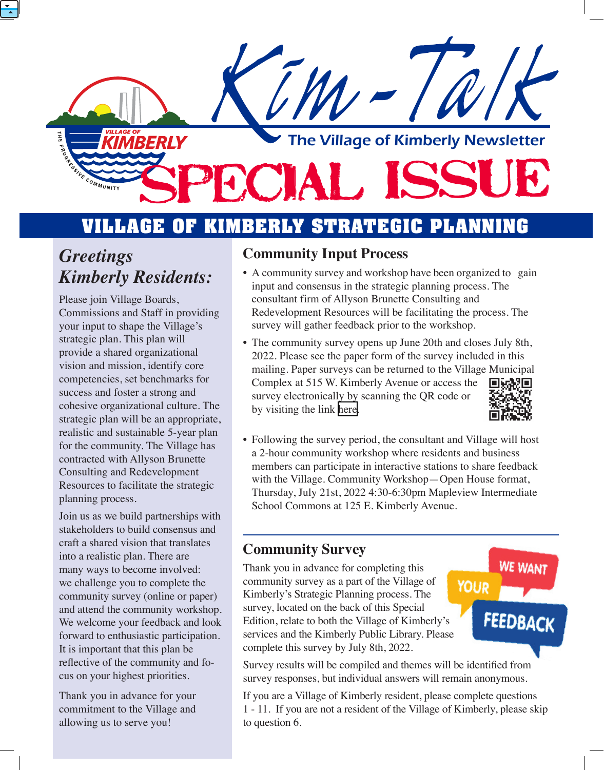

## **VILLAGE OF KIMBERLY STRATEGIC PLANNING**

## *Greetings Kimberly Residents:*

Please join Village Boards, Commissions and Staff in providing your input to shape the Village's strategic plan. This plan will provide a shared organizational vision and mission, identify core competencies, set benchmarks for success and foster a strong and cohesive organizational culture. The strategic plan will be an appropriate, realistic and sustainable 5-year plan for the community. The Village has contracted with Allyson Brunette Consulting and Redevelopment Resources to facilitate the strategic planning process.

Join us as we build partnerships with stakeholders to build consensus and craft a shared vision that translates into a realistic plan. There are many ways to become involved: we challenge you to complete the community survey (online or paper) and attend the community workshop. We welcome your feedback and look forward to enthusiastic participation. It is important that this plan be reflective of the community and focus on your highest priorities.

Thank you in advance for your commitment to the Village and allowing us to serve you!

### **Community Input Process**

- A community survey and workshop have been organized to gain input and consensus in the strategic planning process. The consultant firm of Allyson Brunette Consulting and Redevelopment Resources will be facilitating the process. The survey will gather feedback prior to the workshop.
- The community survey opens up June 20th and closes July 8th, 2022. Please see the paper form of the survey included in this mailing. Paper surveys can be returned to the Village Municipal Complex at 515 W. Kimberly Avenue or access the survey electronically by scanning the QR code or by visiting the link [here.](https://docs.google.com/forms/d/e/1FAIpQLSfr4JTMXbFwhys709U8fFVTNRnNYe04r-AQB7RX4vhjgd6EHA/viewform?usp=sf_link)
- Following the survey period, the consultant and Village will host a 2-hour community workshop where residents and business members can participate in interactive stations to share feedback with the Village. Community Workshop—Open House format, Thursday, July 21st, 2022 4:30-6:30pm Mapleview Intermediate School Commons at 125 E. Kimberly Avenue.

### **Community Survey**

Thank you in advance for completing this community survey as a part of the Village of Kimberly's Strategic Planning process. The survey, located on the back of this Special Edition, relate to both the Village of Kimberly's services and the Kimberly Public Library. Please complete this survey by July 8th, 2022.

**WE WANT YOUR FEEDBACK** 

Survey results will be compiled and themes will be identified from survey responses, but individual answers will remain anonymous.

If you are a Village of Kimberly resident, please complete questions 1 - 11. If you are not a resident of the Village of Kimberly, please skip to question 6.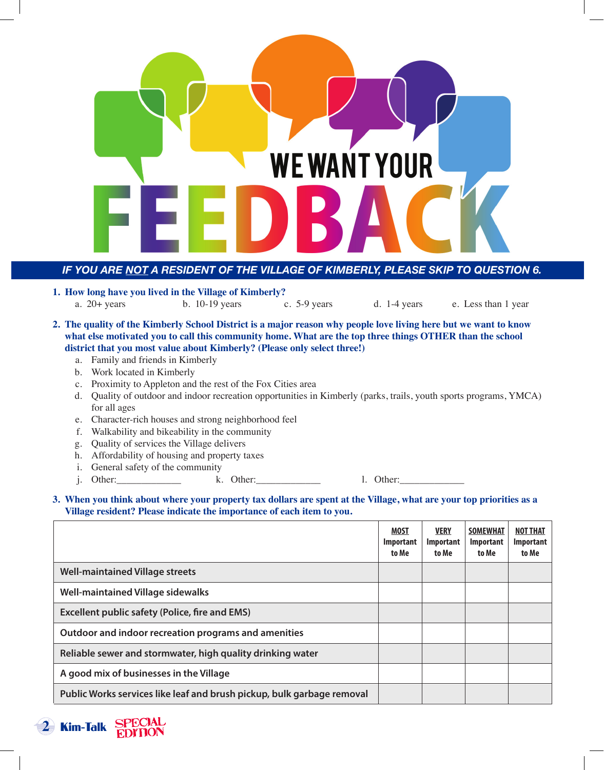

#### *IF YOU ARE NOT A RESIDENT OF THE VILLAGE OF KIMBERLY, PLEASE SKIP TO QUESTION 6.*

- **1. How long have you lived in the Village of Kimberly?** a. 20+ years b. 10-19 years c. 5-9 years d. 1-4 years e. Less than 1 year
- **2. The quality of the Kimberly School District is a major reason why people love living here but we want to know what else motivated you to call this community home. What are the top three things OTHER than the school district that you most value about Kimberly? (Please only select three!)**
	- a. Family and friends in Kimberly
	- b. Work located in Kimberly
	- c. Proximity to Appleton and the rest of the Fox Cities area
	- d. Quality of outdoor and indoor recreation opportunities in Kimberly (parks, trails, youth sports programs, YMCA) for all ages
	- e. Character-rich houses and strong neighborhood feel
	- f. Walkability and bikeability in the community
	- g. Quality of services the Village delivers
	- h. Affordability of housing and property taxes
	- i. General safety of the community
	- j. Other: 1. Other: 1. Other: 1. Other:

#### **3. When you think about where your property tax dollars are spent at the Village, what are your top priorities as a Village resident? Please indicate the importance of each item to you.**

|                                                                        | <b>MOST</b><br><b>Important</b><br>to Me | <b>VERY</b><br>Important<br>to Me | <b>SOMEWHAT</b><br>Important<br>to Me | <b>NOT THAT</b><br><b>Important</b><br>to Me |
|------------------------------------------------------------------------|------------------------------------------|-----------------------------------|---------------------------------------|----------------------------------------------|
| <b>Well-maintained Village streets</b>                                 |                                          |                                   |                                       |                                              |
| <b>Well-maintained Village sidewalks</b>                               |                                          |                                   |                                       |                                              |
| <b>Excellent public safety (Police, fire and EMS)</b>                  |                                          |                                   |                                       |                                              |
| Outdoor and indoor recreation programs and amenities                   |                                          |                                   |                                       |                                              |
| Reliable sewer and stormwater, high quality drinking water             |                                          |                                   |                                       |                                              |
| A good mix of businesses in the Village                                |                                          |                                   |                                       |                                              |
| Public Works services like leaf and brush pickup, bulk garbage removal |                                          |                                   |                                       |                                              |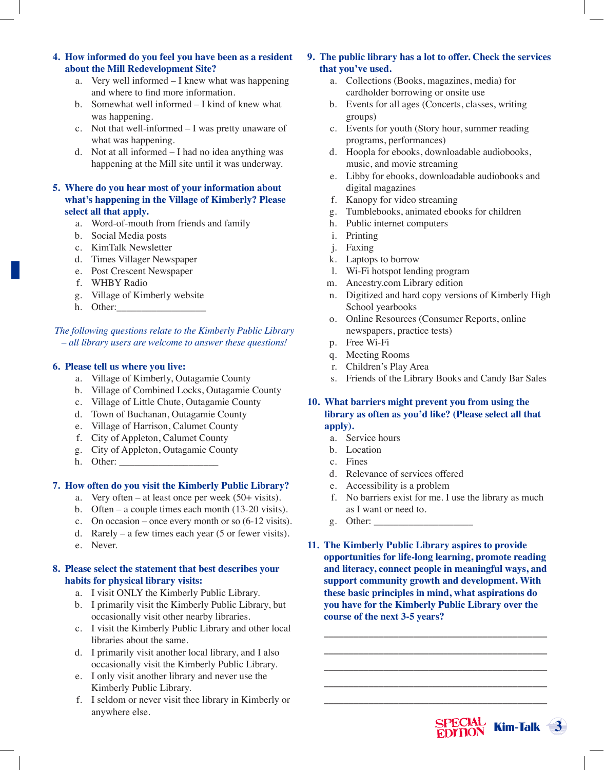#### **4. How informed do you feel you have been as a resident about the Mill Redevelopment Site?**

- a. Very well informed I knew what was happening and where to find more information.
- b. Somewhat well informed I kind of knew what was happening.
- c. Not that well-informed I was pretty unaware of what was happening.
- d. Not at all informed I had no idea anything was happening at the Mill site until it was underway.

#### **5. Where do you hear most of your information about what's happening in the Village of Kimberly? Please select all that apply.**

- a. Word-of-mouth from friends and family
- b. Social Media posts
- c. KimTalk Newsletter
- d. Times Villager Newspaper
- e. Post Crescent Newspaper
- f. WHBY Radio
- g. Village of Kimberly website
- h. Other:

*The following questions relate to the Kimberly Public Library – all library users are welcome to answer these questions!*

#### **6. Please tell us where you live:**

- a. Village of Kimberly, Outagamie County
- b. Village of Combined Locks, Outagamie County
- c. Village of Little Chute, Outagamie County
- d. Town of Buchanan, Outagamie County
- e. Village of Harrison, Calumet County
- f. City of Appleton, Calumet County
- g. City of Appleton, Outagamie County
- h. Other:

#### **7. How often do you visit the Kimberly Public Library?**

- a. Very often at least once per week (50+ visits).
- b. Often a couple times each month (13-20 visits).
- c. On occasion once every month or so (6-12 visits).
- d. Rarely a few times each year  $(5 \text{ or fewer visits}).$
- e. Never.

#### **8. Please select the statement that best describes your habits for physical library visits:**

- a. I visit ONLY the Kimberly Public Library.
- b. I primarily visit the Kimberly Public Library, but occasionally visit other nearby libraries.
- c. I visit the Kimberly Public Library and other local libraries about the same.
- d. I primarily visit another local library, and I also occasionally visit the Kimberly Public Library.
- e. I only visit another library and never use the Kimberly Public Library.
- f. I seldom or never visit thee library in Kimberly or anywhere else.

#### **9. The public library has a lot to offer. Check the services that you've used.**

- a. Collections (Books, magazines, media) for cardholder borrowing or onsite use
- b. Events for all ages (Concerts, classes, writing groups)
- c. Events for youth (Story hour, summer reading programs, performances)
- d. Hoopla for ebooks, downloadable audiobooks, music, and movie streaming
- e. Libby for ebooks, downloadable audiobooks and digital magazines
- f. Kanopy for video streaming
- g. Tumblebooks, animated ebooks for children
- h. Public internet computers
- i. Printing
- j. Faxing
- k. Laptops to borrow
- l. Wi-Fi hotspot lending program
- m. Ancestry.com Library edition
- n. Digitized and hard copy versions of Kimberly High School yearbooks
- o. Online Resources (Consumer Reports, online newspapers, practice tests)
- p. Free Wi-Fi
- q. Meeting Rooms
- r. Children's Play Area
- s. Friends of the Library Books and Candy Bar Sales

**10. What barriers might prevent you from using the library as often as you'd like? (Please select all that apply).**

- a. Service hours
- b. Location
- c. Fines
- d. Relevance of services offered
- e. Accessibility is a problem
- f. No barriers exist for me. I use the library as much as I want or need to.
- g. Other:
- **11. The Kimberly Public Library aspires to provide opportunities for life-long learning, promote reading and literacy, connect people in meaningful ways, and support community growth and development. With these basic principles in mind, what aspirations do you have for the Kimberly Public Library over the course of the next 3-5 years?**

**\_\_\_\_\_\_\_\_\_\_\_\_\_\_\_\_\_\_\_\_\_\_\_\_\_\_\_\_\_\_\_\_\_\_\_\_\_\_\_\_\_\_\_\_\_ \_\_\_\_\_\_\_\_\_\_\_\_\_\_\_\_\_\_\_\_\_\_\_\_\_\_\_\_\_\_\_\_\_\_\_\_\_\_\_\_\_\_\_\_\_ \_\_\_\_\_\_\_\_\_\_\_\_\_\_\_\_\_\_\_\_\_\_\_\_\_\_\_\_\_\_\_\_\_\_\_\_\_\_\_\_\_\_\_\_\_ \_\_\_\_\_\_\_\_\_\_\_\_\_\_\_\_\_\_\_\_\_\_\_\_\_\_\_\_\_\_\_\_\_\_\_\_\_\_\_\_\_\_\_\_\_ \_\_\_\_\_\_\_\_\_\_\_\_\_\_\_\_\_\_\_\_\_\_\_\_\_\_\_\_\_\_\_\_\_\_\_\_\_\_\_\_\_\_\_\_\_**